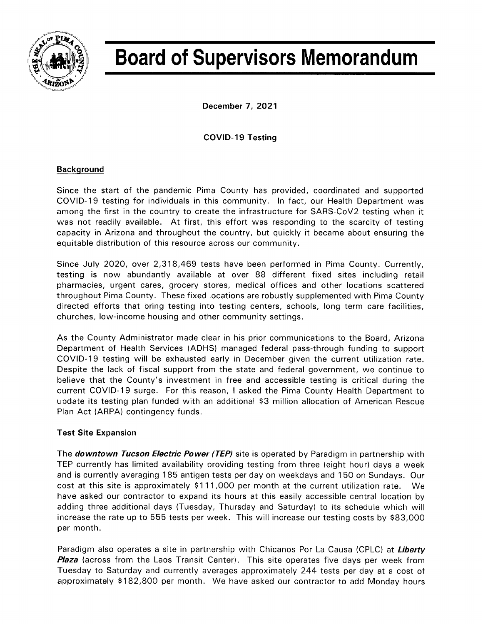

# **Board of Supervisors Memorandum**

December 7, 2021

## **COVID-19 Testing**

## **Background**

Since the start of the pandemic Pima County has provided, coordinated and supported COVID-19 testing for individuals in this community. In fact, our Health Department was among the first in the country to create the infrastructure for SARS-CoV2 testing when it was not readily available. At first, this effort was responding to the scarcity of testing capacity in Arizona and throughout the country, but quickly it became about ensuring the equitable distribution of this resource across our community.

Since July 2020, over 2,318,469 tests have been performed in Pima County. Currently, testing is now abundantly available at over 88 different fixed sites including retail pharmacies, urgent cares, grocery stores, medical offices and other locations scattered throughout Pima County. These fixed locations are robustly supplemented with Pima County directed efforts that bring testing into testing centers, schools, long term care facilities, churches, low-income housing and other community settings.

As the County Administrator made clear in his prior communications to the Board, Arizona Department of Health Services (ADHS) managed federal pass-through funding to support COVID-19 testing will be exhausted early in December given the current utilization rate. Despite the lack of fiscal support from the state and federal government, we continue to believe that the County's investment in free and accessible testing is critical during the current COVID-19 surge. For this reason, I asked the Pima County Health Department to update its testing plan funded with an additional \$3 million allocation of American Rescue Plan Act (ARPA) contingency funds.

## **Test Site Expansion**

The downtown Tucson Electric Power (TEP) site is operated by Paradigm in partnership with TEP currently has limited availability providing testing from three (eight hour) days a week and is currently averaging 185 antigen tests per day on weekdays and 150 on Sundays. Our cost at this site is approximately \$111,000 per month at the current utilization rate. We have asked our contractor to expand its hours at this easily accessible central location by adding three additional days (Tuesday, Thursday and Saturday) to its schedule which will increase the rate up to 555 tests per week. This will increase our testing costs by \$83,000 per month.

Paradigm also operates a site in partnership with Chicanos Por La Causa (CPLC) at Liberty **Plaza** (across from the Laos Transit Center). This site operates five days per week from Tuesday to Saturday and currently averages approximately 244 tests per day at a cost of approximately \$182,800 per month. We have asked our contractor to add Monday hours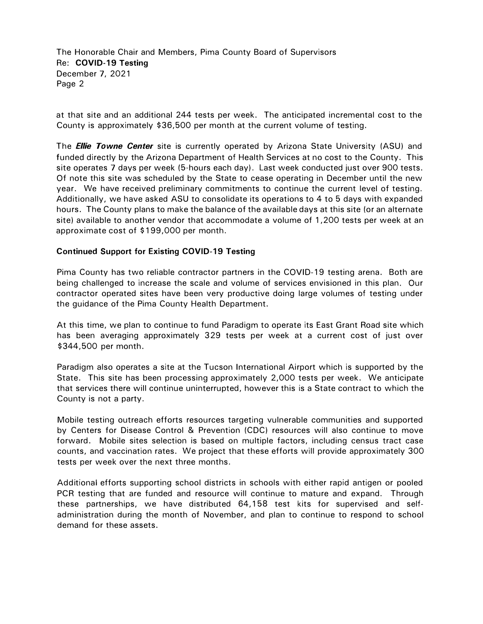The Honorable Chair and Members, Pima County Board of Supervisors Re: **COVID-19 Testing**  December 7, 2021 Page 2

at that site and an additional 244 tests per week. The anticipated incremental cost to the County is approximately \$36,500 per month at the current volume of testing.

The *Ellie Towne Center* site is currently operated by Arizona State University (ASU) and funded directly by the Arizona Department of Health Services at no cost to the County. This site operates 7 days per week (5-hours each day). Last week conducted just over 900 tests. Of note this site was scheduled by the State to cease operating in December until the new year. We have received preliminary commitments to continue the current level of testing. Additionally, we have asked ASU to consolidate its operations to 4 to 5 days with expanded hours. The County plans to make the balance of the available days at this site (or an alternate site) available to another vendor that accommodate a volume of 1,200 tests per week at an approximate cost of \$199,000 per month.

#### **Continued Support for Existing COVID-19 Testing**

Pima County has two reliable contractor partners in the COVID-19 testing arena. Both are being challenged to increase the scale and volume of services envisioned in this plan. Our contractor operated sites have been very productive doing large volumes of testing under the guidance of the Pima County Health Department.

At this time, we plan to continue to fund Paradigm to operate its East Grant Road site which has been averaging approximately 329 tests per week at a current cost of just over \$344,500 per month.

Paradigm also operates a site at the Tucson International Airport which is supported by the State. This site has been processing approximately 2,000 tests per week. We anticipate that services there will continue uninterrupted, however this is a State contract to which the County is not a party.

Mobile testing outreach efforts resources targeting vulnerable communities and supported by Centers for Disease Control & Prevention (CDC) resources will also continue to move forward. Mobile sites selection is based on multiple factors, including census tract case counts, and vaccination rates. We project that these efforts will provide approximately 300 tests per week over the next three months.

Additional efforts supporting school districts in schools with either rapid antigen or pooled PCR testing that are funded and resource will continue to mature and expand. Through these partnerships, we have distributed 64,158 test kits for supervised and selfadministration during the month of November, and plan to continue to respond to school demand for these assets.